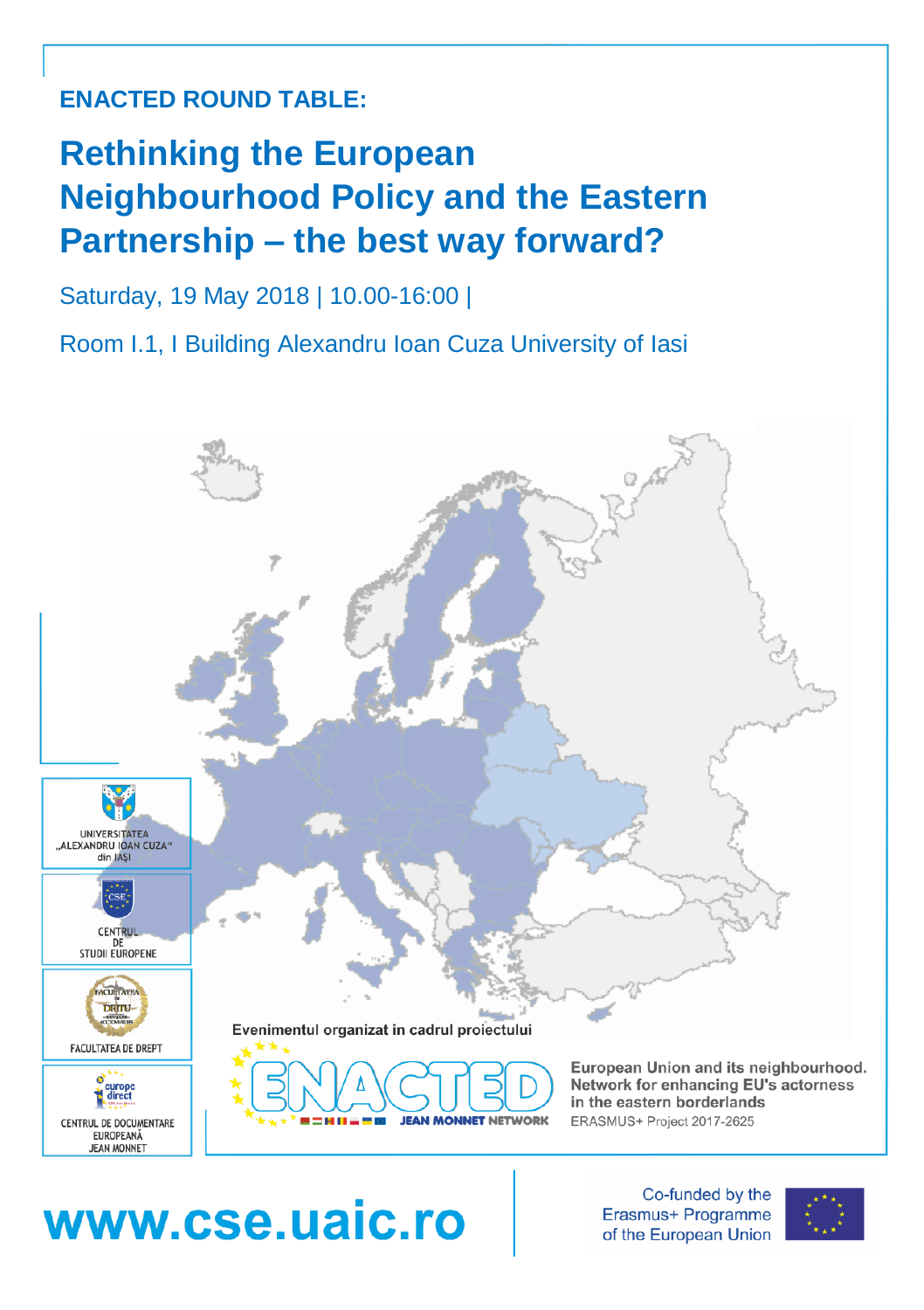## **ENACTED ROUND TABLE:**

# **Rethinking the European Neighbourhood Policy and the Eastern Partnership – the best way forward?**

#### Saturday, 19 May 2018 | 10.00-16:00 |

Room I.1, I Building Alexandru Ioan Cuza University of Iasi



# www.cse.uaic.ro

Co-funded by the Erasmus+ Programme of the European Union

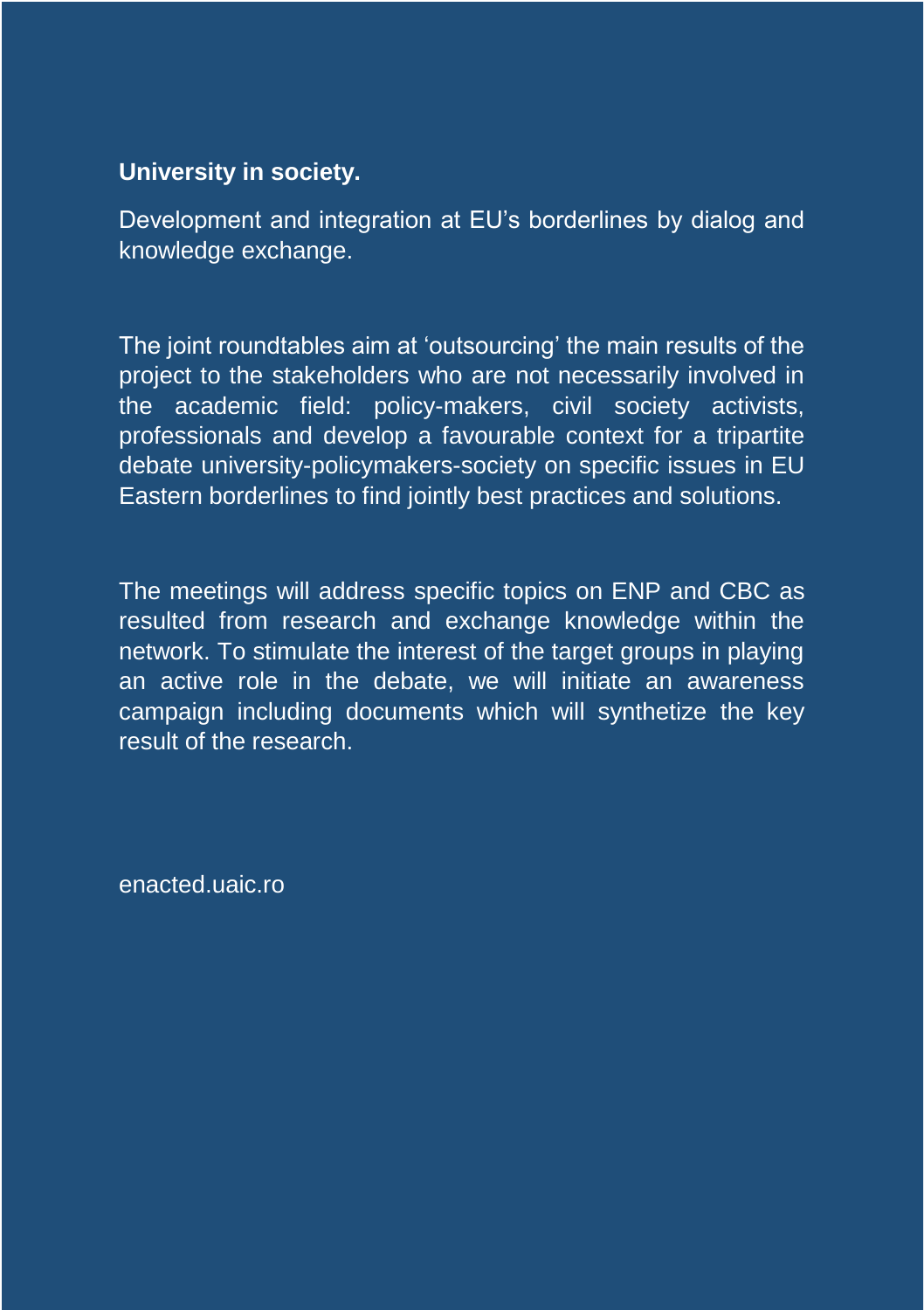#### **University in society.**

Development and integration at EU's borderlines by dialog and knowledge exchange.

The joint roundtables aim at 'outsourcing' the main results of the project to the stakeholders who are not necessarily involved in the academic field: policy-makers, civil society activists, professionals and develop a favourable context for a tripartite debate university-policymakers-society on specific issues in EU Eastern borderlines to find jointly best practices and solutions.

The meetings will address specific topics on ENP and CBC as resulted from research and exchange knowledge within the network. To stimulate the interest of the target groups in playing an active role in the debate, we will initiate an awareness campaign including documents which will synthetize the key result of the research.

enacted.uaic.ro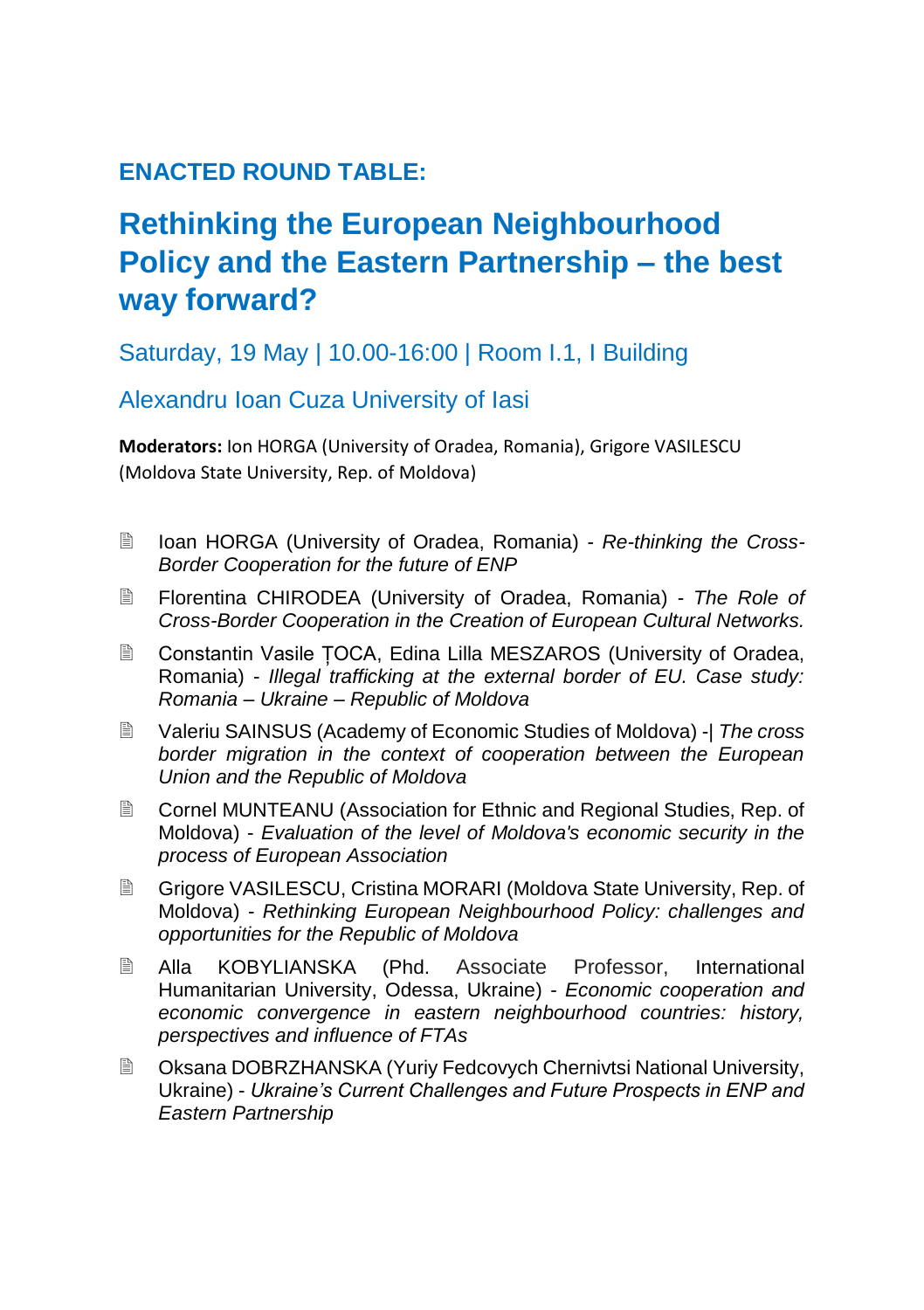### **ENACTED ROUND TABLE:**

## **Rethinking the European Neighbourhood Policy and the Eastern Partnership – the best way forward?**

Saturday, 19 May | 10.00-16:00 | Room I.1, I Building

#### Alexandru Ioan Cuza University of Iasi

**Moderators:** Ion HORGA (University of Oradea, Romania), Grigore VASILESCU (Moldova State University, Rep. of Moldova)

- Ioan HORGA (University of Oradea, Romania) *Re-thinking the Cross-Border Cooperation for the future of ENP*
- Florentina CHIRODEA (University of Oradea, Romania) *The Role of Cross-Border Cooperation in the Creation of European Cultural Networks.*
- Constantin Vasile TOCA, Edina Lilla MESZAROS (University of Oradea, Romania) - *Illegal trafficking at the external border of EU. Case study: Romania – Ukraine – Republic of Moldova*
- Valeriu SAINSUS (Academy of Economic Studies of Moldova) -| *The cross border migration in the context of cooperation between the European Union and the Republic of Moldova*
- Cornel MUNTEANU (Association for Ethnic and Regional Studies, Rep. of Moldova) - *Evaluation of the level of Moldova's economic security in the process of European Association*
- Grigore VASILESCU, Cristina MORARI (Moldova State University, Rep. of Moldova) - *Rethinking European Neighbourhood Policy: challenges and opportunities for the Republic of Moldova*
- Alla KOBYLIANSKA (Phd. Associate Professor, International Humanitarian University, Odessa, Ukraine) - *Economic cooperation and economic convergence in eastern neighbourhood countries: history, perspectives and influence of FTAs*
- Oksana DOBRZHANSKA (Yuriy Fedcovych Chernivtsi National University, Ukraine) - *Ukraine's Current Challenges and Future Prospects in ENP and Eastern Partnership*